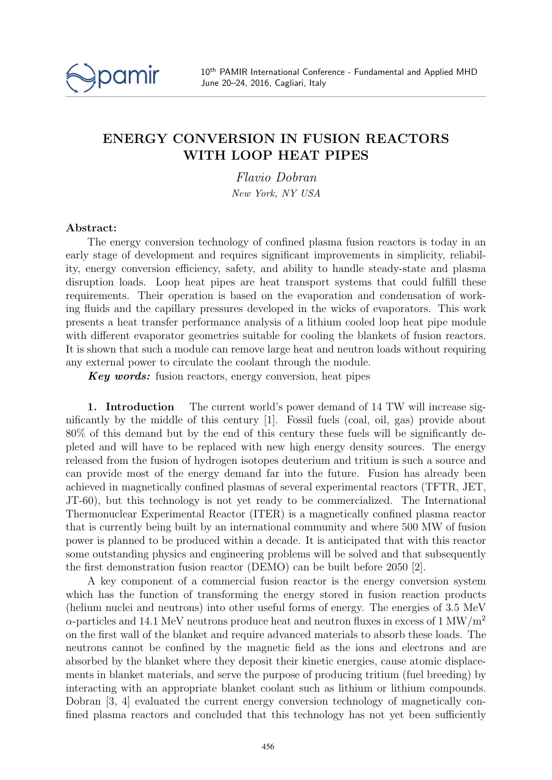

## ENERGY CONVERSION IN FUSION REACTORS WITH LOOP HEAT PIPES

Flavio Dobran New York, NY USA

## Abstract:

The energy conversion technology of confined plasma fusion reactors is today in an early stage of development and requires significant improvements in simplicity, reliability, energy conversion efficiency, safety, and ability to handle steady-state and plasma disruption loads. Loop heat pipes are heat transport systems that could fulfill these requirements. Their operation is based on the evaporation and condensation of working fluids and the capillary pressures developed in the wicks of evaporators. This work presents a heat transfer performance analysis of a lithium cooled loop heat pipe module with different evaporator geometries suitable for cooling the blankets of fusion reactors. It is shown that such a module can remove large heat and neutron loads without requiring any external power to circulate the coolant through the module.

Key words: fusion reactors, energy conversion, heat pipes

1. Introduction The current world's power demand of 14 TW will increase significantly by the middle of this century [1]. Fossil fuels (coal, oil, gas) provide about 80% of this demand but by the end of this century these fuels will be significantly depleted and will have to be replaced with new high energy density sources. The energy released from the fusion of hydrogen isotopes deuterium and tritium is such a source and can provide most of the energy demand far into the future. Fusion has already been achieved in magnetically confined plasmas of several experimental reactors (TFTR, JET, JT-60), but this technology is not yet ready to be commercialized. The International Thermonuclear Experimental Reactor (ITER) is a magnetically confined plasma reactor that is currently being built by an international community and where 500 MW of fusion power is planned to be produced within a decade. It is anticipated that with this reactor some outstanding physics and engineering problems will be solved and that subsequently the first demonstration fusion reactor (DEMO) can be built before 2050 [2].

A key component of a commercial fusion reactor is the energy conversion system which has the function of transforming the energy stored in fusion reaction products (helium nuclei and neutrons) into other useful forms of energy. The energies of 3.5 MeV  $\alpha$ -particles and 14.1 MeV neutrons produce heat and neutron fluxes in excess of 1 MW/m<sup>2</sup> on the first wall of the blanket and require advanced materials to absorb these loads. The neutrons cannot be confined by the magnetic field as the ions and electrons and are absorbed by the blanket where they deposit their kinetic energies, cause atomic displacements in blanket materials, and serve the purpose of producing tritium (fuel breeding) by interacting with an appropriate blanket coolant such as lithium or lithium compounds. Dobran [3, 4] evaluated the current energy conversion technology of magnetically confined plasma reactors and concluded that this technology has not yet been sufficiently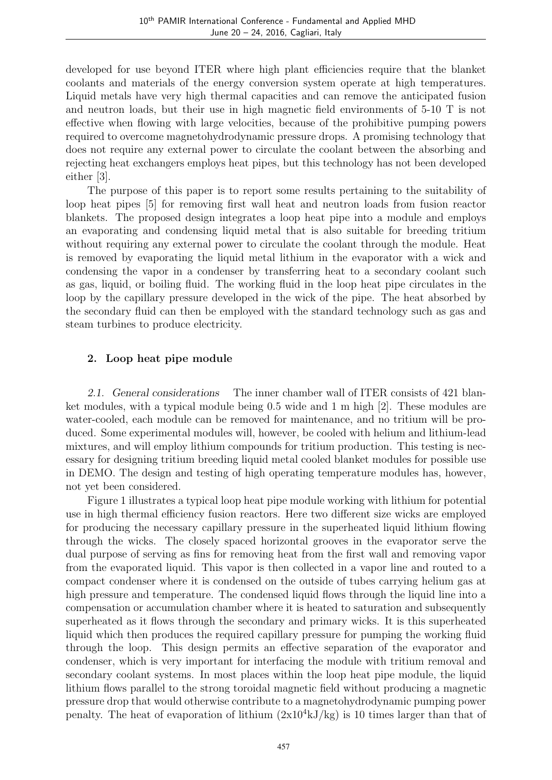developed for use beyond ITER where high plant efficiencies require that the blanket coolants and materials of the energy conversion system operate at high temperatures. Liquid metals have very high thermal capacities and can remove the anticipated fusion and neutron loads, but their use in high magnetic field environments of 5-10 T is not effective when flowing with large velocities, because of the prohibitive pumping powers required to overcome magnetohydrodynamic pressure drops. A promising technology that does not require any external power to circulate the coolant between the absorbing and rejecting heat exchangers employs heat pipes, but this technology has not been developed either [3].

The purpose of this paper is to report some results pertaining to the suitability of loop heat pipes [5] for removing first wall heat and neutron loads from fusion reactor blankets. The proposed design integrates a loop heat pipe into a module and employs an evaporating and condensing liquid metal that is also suitable for breeding tritium without requiring any external power to circulate the coolant through the module. Heat is removed by evaporating the liquid metal lithium in the evaporator with a wick and condensing the vapor in a condenser by transferring heat to a secondary coolant such as gas, liquid, or boiling fluid. The working fluid in the loop heat pipe circulates in the loop by the capillary pressure developed in the wick of the pipe. The heat absorbed by the secondary fluid can then be employed with the standard technology such as gas and steam turbines to produce electricity.

## 2. Loop heat pipe module

2.1. General considerations The inner chamber wall of ITER consists of 421 blanket modules, with a typical module being 0.5 wide and 1 m high [2]. These modules are water-cooled, each module can be removed for maintenance, and no tritium will be produced. Some experimental modules will, however, be cooled with helium and lithium-lead mixtures, and will employ lithium compounds for tritium production. This testing is necessary for designing tritium breeding liquid metal cooled blanket modules for possible use in DEMO. The design and testing of high operating temperature modules has, however, not yet been considered.

Figure 1 illustrates a typical loop heat pipe module working with lithium for potential use in high thermal efficiency fusion reactors. Here two different size wicks are employed for producing the necessary capillary pressure in the superheated liquid lithium flowing through the wicks. The closely spaced horizontal grooves in the evaporator serve the dual purpose of serving as fins for removing heat from the first wall and removing vapor from the evaporated liquid. This vapor is then collected in a vapor line and routed to a compact condenser where it is condensed on the outside of tubes carrying helium gas at high pressure and temperature. The condensed liquid flows through the liquid line into a compensation or accumulation chamber where it is heated to saturation and subsequently superheated as it flows through the secondary and primary wicks. It is this superheated liquid which then produces the required capillary pressure for pumping the working fluid through the loop. This design permits an effective separation of the evaporator and condenser, which is very important for interfacing the module with tritium removal and secondary coolant systems. In most places within the loop heat pipe module, the liquid lithium flows parallel to the strong toroidal magnetic field without producing a magnetic pressure drop that would otherwise contribute to a magnetohydrodynamic pumping power penalty. The heat of evaporation of lithium  $(2x10^4kJ/kg)$  is 10 times larger than that of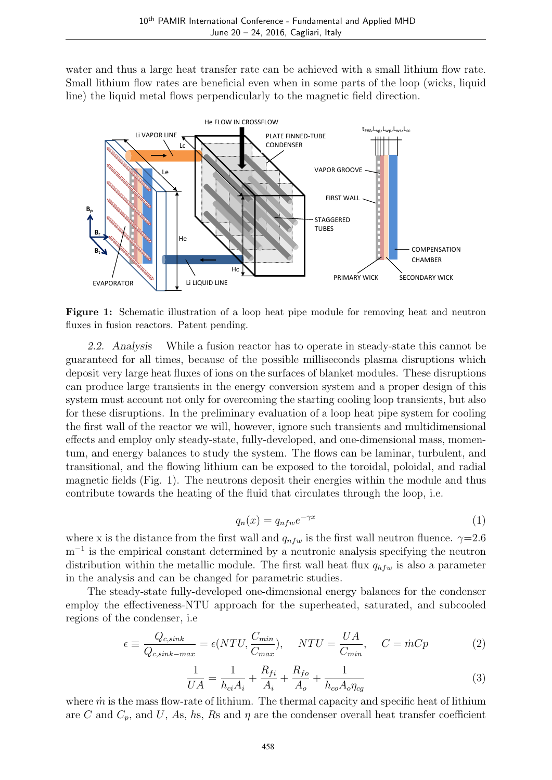water and thus a large heat transfer rate can be achieved with a small lithium flow rate. Small lithium flow rates are beneficial even when in some parts of the loop (wicks, liquid line) the liquid metal flows perpendicularly to the magnetic field direction.



Figure 1: Schematic illustration of a loop heat pipe module for removing heat and neutron fluxes in fusion reactors. Patent pending.

2.2. Analysis While a fusion reactor has to operate in steady-state this cannot be guaranteed for all times, because of the possible milliseconds plasma disruptions which deposit very large heat fluxes of ions on the surfaces of blanket modules. These disruptions can produce large transients in the energy conversion system and a proper design of this system must account not only for overcoming the starting cooling loop transients, but also for these disruptions. In the preliminary evaluation of a loop heat pipe system for cooling the first wall of the reactor we will, however, ignore such transients and multidimensional effects and employ only steady-state, fully-developed, and one-dimensional mass, momentum, and energy balances to study the system. The flows can be laminar, turbulent, and transitional, and the flowing lithium can be exposed to the toroidal, poloidal, and radial magnetic fields (Fig. 1). The neutrons deposit their energies within the module and thus contribute towards the heating of the fluid that circulates through the loop, i.e.

$$
q_n(x) = q_{nfw}e^{-\gamma x} \tag{1}
$$

where x is the distance from the first wall and  $q_{nfw}$  is the first wall neutron fluence.  $\gamma=2.6$ m<sup>-1</sup> is the empirical constant determined by a neutronic analysis specifying the neutron distribution within the metallic module. The first wall heat flux  $q_{hfw}$  is also a parameter in the analysis and can be changed for parametric studies.

The steady-state fully-developed one-dimensional energy balances for the condenser employ the effectiveness-NTU approach for the superheated, saturated, and subcooled regions of the condenser, i.e

$$
\epsilon \equiv \frac{Q_{c,sink}}{Q_{c,sink-max}} = \epsilon (NTU, \frac{C_{min}}{C_{max}}), \quad NTU = \frac{UA}{C_{min}}, \quad C = \dot{m}Cp \tag{2}
$$

$$
\frac{1}{UA} = \frac{1}{h_{ci}A_i} + \frac{R_{fi}}{A_i} + \frac{R_{fo}}{A_o} + \frac{1}{h_{co}A_o\eta_{cg}}
$$
(3)

where  $\dot{m}$  is the mass flow-rate of lithium. The thermal capacity and specific heat of lithium are C and  $C_p$ , and U, As, hs, Rs and  $\eta$  are the condenser overall heat transfer coefficient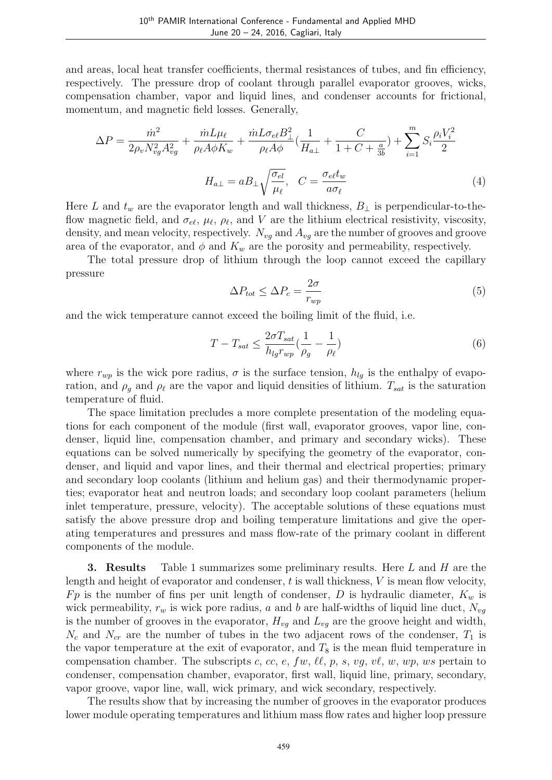and areas, local heat transfer coefficients, thermal resistances of tubes, and fin efficiency, respectively. The pressure drop of coolant through parallel evaporator grooves, wicks, compensation chamber, vapor and liquid lines, and condenser accounts for frictional, momentum, and magnetic field losses. Generally,

$$
\Delta P = \frac{\dot{m}^2}{2\rho_v N_{vg}^2 A_{vg}^2} + \frac{\dot{m}L\mu_\ell}{\rho_\ell A\phi K_w} + \frac{\dot{m}L\sigma_{e\ell}B_\perp^2}{\rho_\ell A\phi} \left(\frac{1}{H_{a\perp}} + \frac{C}{1 + C + \frac{a}{3b}}\right) + \sum_{i=1}^m S_i \frac{\rho_i V_i^2}{2}
$$

$$
H_{a\perp} = aB_\perp \sqrt{\frac{\sigma_{el}}{\mu_\ell}}, \quad C = \frac{\sigma_{e\ell}t_w}{a\sigma_\ell}
$$
(4)

Here L and  $t_w$  are the evaporator length and wall thickness,  $B_{\perp}$  is perpendicular-to-theflow magnetic field, and  $\sigma_{e\ell}, \mu_{\ell}, \rho_{\ell}$ , and V are the lithium electrical resistivity, viscosity, density, and mean velocity, respectively.  $N_{vg}$  and  $A_{vg}$  are the number of grooves and groove area of the evaporator, and  $\phi$  and  $K_w$  are the porosity and permeability, respectively.

The total pressure drop of lithium through the loop cannot exceed the capillary pressure

$$
\Delta P_{tot} \le \Delta P_c = \frac{2\sigma}{r_{wp}}\tag{5}
$$

and the wick temperature cannot exceed the boiling limit of the fluid, i.e.

$$
T - T_{sat} \le \frac{2\sigma T_{sat}}{h_{lg}r_{wp}}(\frac{1}{\rho_g} - \frac{1}{\rho_\ell})\tag{6}
$$

where  $r_{wp}$  is the wick pore radius,  $\sigma$  is the surface tension,  $h_{lq}$  is the enthalpy of evaporation, and  $\rho_g$  and  $\rho_\ell$  are the vapor and liquid densities of lithium.  $T_{sat}$  is the saturation temperature of fluid.

The space limitation precludes a more complete presentation of the modeling equations for each component of the module (first wall, evaporator grooves, vapor line, condenser, liquid line, compensation chamber, and primary and secondary wicks). These equations can be solved numerically by specifying the geometry of the evaporator, condenser, and liquid and vapor lines, and their thermal and electrical properties; primary and secondary loop coolants (lithium and helium gas) and their thermodynamic properties; evaporator heat and neutron loads; and secondary loop coolant parameters (helium inlet temperature, pressure, velocity). The acceptable solutions of these equations must satisfy the above pressure drop and boiling temperature limitations and give the operating temperatures and pressures and mass flow-rate of the primary coolant in different components of the module.

**3. Results** Table 1 summarizes some preliminary results. Here  $L$  and  $H$  are the length and height of evaporator and condenser,  $t$  is wall thickness,  $V$  is mean flow velocity, Fp is the number of fins per unit length of condenser, D is hydraulic diameter,  $K_w$  is wick permeability,  $r_w$  is wick pore radius, a and b are half-widths of liquid line duct,  $N_{vg}$ is the number of grooves in the evaporator,  $H_{vg}$  and  $L_{vg}$  are the groove height and width,  $N_c$  and  $N_{cr}$  are the number of tubes in the two adjacent rows of the condenser,  $T_1$  is the vapor temperature at the exit of evaporator, and  $T_8$  is the mean fluid temperature in compensation chamber. The subscripts c, cc, e, fw,  $\ell\ell, p, s, vq, v\ell, w, wp, ws pertain to$ condenser, compensation chamber, evaporator, first wall, liquid line, primary, secondary, vapor groove, vapor line, wall, wick primary, and wick secondary, respectively.

The results show that by increasing the number of grooves in the evaporator produces lower module operating temperatures and lithium mass flow rates and higher loop pressure